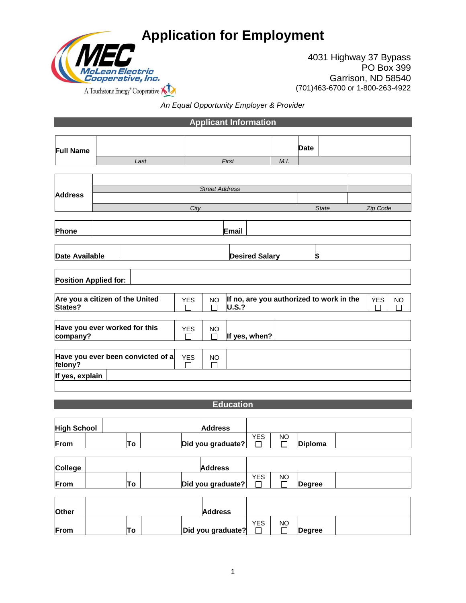

4031 Highway 37 Bypass PO Box 399 Garrison, ND 58540 (701)463-6700 or 1-800-263-4922

*An Equal Opportunity Employer & Provider*

**Applicant Information Full Name Date**  *Last First M.I. Street Address* **Address** *City State Zip Code* **Phone Email Date Available 1 b b b b Desired Salary Position Applied for: Are you a citizen of the United**  YES | NO **If no, are you authorized to work in the** YES NO **States?**  $\Box$  $\Box$ **U.S.?**  $\Box$  $\Box$ **Have you ever worked for this**  YES NO **company? If yes, when? Have you ever been convicted of a**   $YES$  NO **felony? If yes, explain Education High School Address** YES NO **From To Did you graduate? Diploma College Address** YES NO **From To Did you graduate?**  $\Box$  $\Box$ **Degree Other Address**

| <b>Other</b> |    | <b>Address</b>    |     |    |               |  |
|--------------|----|-------------------|-----|----|---------------|--|
|              |    |                   | YES | NO |               |  |
| From         | Τo | Did you graduate? |     |    | <b>Degree</b> |  |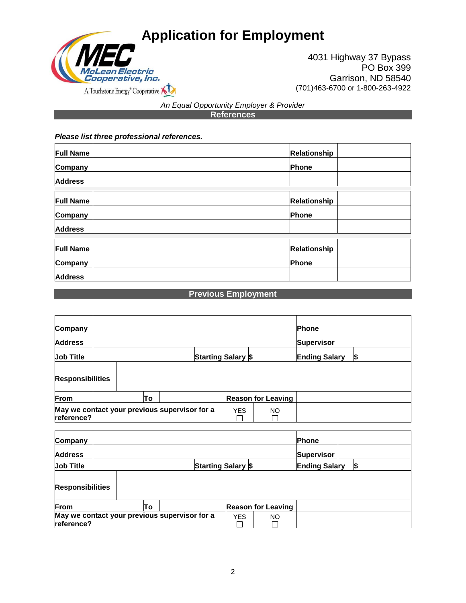

4031 Highway 37 Bypass PO Box 399 Garrison, ND 58540 (701)463-6700 or 1-800-263-4922

### *An Equal Opportunity Employer & Provider* **References**

#### *Please list three professional references.*

| <b>Full Name</b> | Relationship        |
|------------------|---------------------|
| Company          | Phone               |
| <b>Address</b>   |                     |
|                  |                     |
| <b>Full Name</b> | <b>Relationship</b> |
| Company          | Phone               |
| <b>Address</b>   |                     |
|                  |                     |
| <b>Full Name</b> | Relationship        |
| Company          | Phone               |
| <b>Address</b>   |                     |

# **Previous Employment**

| Company                 |  |    |                                               |                           |                           | Phone                |  |  |
|-------------------------|--|----|-----------------------------------------------|---------------------------|---------------------------|----------------------|--|--|
| <b>Address</b>          |  |    |                                               |                           |                           | <b>Supervisor</b>    |  |  |
| <b>Job Title</b>        |  |    |                                               | <b>Starting Salary \$</b> |                           | <b>Ending Salary</b> |  |  |
| <b>Responsibilities</b> |  |    |                                               |                           |                           |                      |  |  |
| From                    |  | To |                                               |                           | <b>Reason for Leaving</b> |                      |  |  |
| reference?              |  |    | May we contact your previous supervisor for a | <b>YES</b>                | NO                        |                      |  |  |

| Company                 |  |    |                                               |            |                           | <b>Phone</b>         |    |
|-------------------------|--|----|-----------------------------------------------|------------|---------------------------|----------------------|----|
| <b>Address</b>          |  |    |                                               |            |                           | <b>Supervisor</b>    |    |
| <b>Job Title</b>        |  |    | <b>Starting Salary \$</b>                     |            |                           | <b>Ending Salary</b> | ß, |
| <b>Responsibilities</b> |  |    |                                               |            |                           |                      |    |
| From                    |  | To |                                               |            | <b>Reason for Leaving</b> |                      |    |
| reference?              |  |    | May we contact your previous supervisor for a | <b>YES</b> | NO.                       |                      |    |